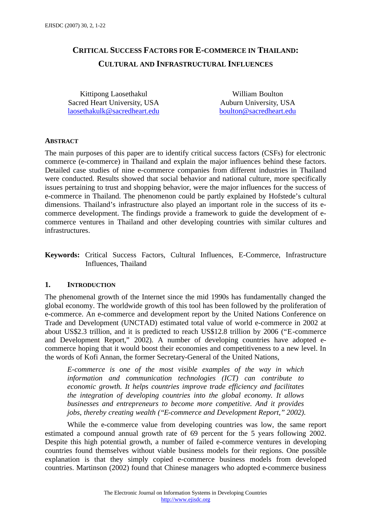# **CRITICAL SUCCESS FACTORS FOR E-COMMERCE IN THAILAND: CULTURAL AND INFRASTRUCTURAL INFLUENCES**

Kittipong Laosethakul Sacred Heart University, USA laosethakulk@sacredheart.edu

William Boulton Auburn University, USA boulton@sacredheart.edu

#### **ABSTRACT**

The main purposes of this paper are to identify critical success factors (CSFs) for electronic commerce (e-commerce) in Thailand and explain the major influences behind these factors. Detailed case studies of nine e-commerce companies from different industries in Thailand were conducted. Results showed that social behavior and national culture, more specifically issues pertaining to trust and shopping behavior, were the major influences for the success of e-commerce in Thailand. The phenomenon could be partly explained by Hofstede's cultural dimensions. Thailand's infrastructure also played an important role in the success of its ecommerce development. The findings provide a framework to guide the development of ecommerce ventures in Thailand and other developing countries with similar cultures and infrastructures.

# **Keywords:** Critical Success Factors, Cultural Influences, E-Commerce, Infrastructure Influences, Thailand

## **1. INTRODUCTION**

The phenomenal growth of the Internet since the mid 1990s has fundamentally changed the global economy. The worldwide growth of this tool has been followed by the proliferation of e-commerce. An e-commerce and development report by the United Nations Conference on Trade and Development (UNCTAD) estimated total value of world e-commerce in 2002 at about US\$2.3 trillion, and it is predicted to reach US\$12.8 trillion by 2006 ("E-commerce and Development Report," 2002). A number of developing countries have adopted ecommerce hoping that it would boost their economies and competitiveness to a new level. In the words of Kofi Annan, the former Secretary-General of the United Nations,

*E-commerce is one of the most visible examples of the way in which information and communication technologies (ICT) can contribute to economic growth. It helps countries improve trade efficiency and facilitates the integration of developing countries into the global economy. It allows businesses and entrepreneurs to become more competitive. And it provides jobs, thereby creating wealth ("E-commerce and Development Report," 2002).*

While the e-commerce value from developing countries was low, the same report estimated a compound annual growth rate of 69 percent for the 5 years following 2002. Despite this high potential growth, a number of failed e-commerce ventures in developing countries found themselves without viable business models for their regions. One possible explanation is that they simply copied e-commerce business models from developed countries. Martinson (2002) found that Chinese managers who adopted e-commerce business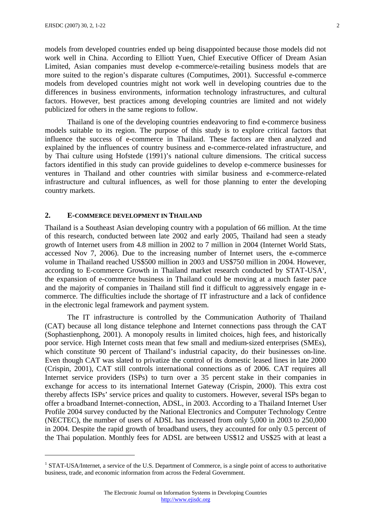$\overline{a}$ 

models from developed countries ended up being disappointed because those models did not work well in China. According to Elliott Yuen, Chief Executive Officer of Dream Asian Limited, Asian companies must develop e-commerce/e-retailing business models that are more suited to the region's disparate cultures (Computimes, 2001). Successful e-commerce models from developed countries might not work well in developing countries due to the differences in business environments, information technology infrastructures, and cultural factors. However, best practices among developing countries are limited and not widely publicized for others in the same regions to follow.

Thailand is one of the developing countries endeavoring to find e-commerce business models suitable to its region. The purpose of this study is to explore critical factors that influence the success of e-commerce in Thailand. These factors are then analyzed and explained by the influences of country business and e-commerce-related infrastructure, and by Thai culture using Hofstede (1991)'s national culture dimensions. The critical success factors identified in this study can provide guidelines to develop e-commerce businesses for ventures in Thailand and other countries with similar business and e-commerce-related infrastructure and cultural influences, as well for those planning to enter the developing country markets.

## **2. E-COMMERCE DEVELOPMENT IN THAILAND**

Thailand is a Southeast Asian developing country with a population of 66 million. At the time of this research, conducted between late 2002 and early 2005, Thailand had seen a steady growth of Internet users from 4.8 million in 2002 to 7 million in 2004 (Internet World Stats, accessed Nov 7, 2006). Due to the increasing number of Internet users, the e-commerce volume in Thailand reached US\$500 million in 2003 and US\$750 million in 2004. However, according to E-commerce Growth in Thailand market research conducted by STAT-USA<sup>1</sup>, the expansion of e-commerce business in Thailand could be moving at a much faster pace and the majority of companies in Thailand still find it difficult to aggressively engage in ecommerce. The difficulties include the shortage of IT infrastructure and a lack of confidence in the electronic legal framework and payment system.

The IT infrastructure is controlled by the Communication Authority of Thailand (CAT) because all long distance telephone and Internet connections pass through the CAT (Sophastienphong, 2001). A monopoly results in limited choices, high fees, and historically poor service. High Internet costs mean that few small and medium-sized enterprises (SMEs), which constitute 90 percent of Thailand's industrial capacity, do their businesses on-line. Even though CAT was slated to privatize the control of its domestic leased lines in late 2000 (Crispin, 2001), CAT still controls international connections as of 2006. CAT requires all Internet service providers (ISPs) to turn over a 35 percent stake in their companies in exchange for access to its international Internet Gateway (Crispin, 2000). This extra cost thereby affects ISPs' service prices and quality to customers. However, several ISPs began to offer a broadband Internet-connection, ADSL, in 2003. According to a Thailand Internet User Profile 2004 survey conducted by the National Electronics and Computer Technology Centre (NECTEC), the number of users of ADSL has increased from only 5,000 in 2003 to 250,000 in 2004. Despite the rapid growth of broadband users, they accounted for only 0.5 percent of the Thai population. Monthly fees for ADSL are between US\$12 and US\$25 with at least a

<sup>&</sup>lt;sup>1</sup> STAT-USA/Internet, a service of the U.S. Department of Commerce, is a single point of access to authoritative business, trade, and economic information from across the Federal Government.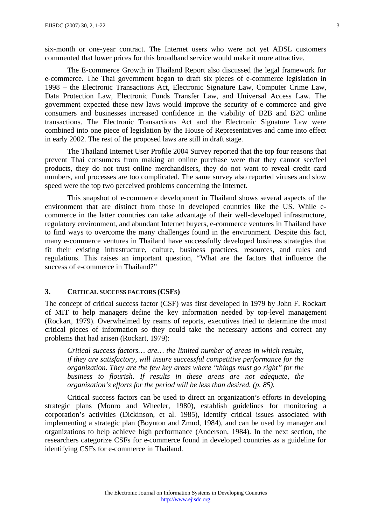six-month or one-year contract. The Internet users who were not yet ADSL customers commented that lower prices for this broadband service would make it more attractive.

The E-commerce Growth in Thailand Report also discussed the legal framework for e-commerce. The Thai government began to draft six pieces of e-commerce legislation in 1998 – the Electronic Transactions Act, Electronic Signature Law, Computer Crime Law, Data Protection Law, Electronic Funds Transfer Law, and Universal Access Law. The government expected these new laws would improve the security of e-commerce and give consumers and businesses increased confidence in the viability of B2B and B2C online transactions. The Electronic Transactions Act and the Electronic Signature Law were combined into one piece of legislation by the House of Representatives and came into effect in early 2002. The rest of the proposed laws are still in draft stage.

The Thailand Internet User Profile 2004 Survey reported that the top four reasons that prevent Thai consumers from making an online purchase were that they cannot see/feel products, they do not trust online merchandisers, they do not want to reveal credit card numbers, and processes are too complicated. The same survey also reported viruses and slow speed were the top two perceived problems concerning the Internet.

This snapshot of e-commerce development in Thailand shows several aspects of the environment that are distinct from those in developed countries like the US. While ecommerce in the latter countries can take advantage of their well-developed infrastructure, regulatory environment, and abundant Internet buyers, e-commerce ventures in Thailand have to find ways to overcome the many challenges found in the environment. Despite this fact, many e-commerce ventures in Thailand have successfully developed business strategies that fit their existing infrastructure, culture, business practices, resources, and rules and regulations. This raises an important question, "What are the factors that influence the success of e-commerce in Thailand?"

#### **3. CRITICAL SUCCESS FACTORS (CSFS)**

The concept of critical success factor (CSF) was first developed in 1979 by John F. Rockart of MIT to help managers define the key information needed by top-level management (Rockart, 1979). Overwhelmed by reams of reports, executives tried to determine the most critical pieces of information so they could take the necessary actions and correct any problems that had arisen (Rockart, 1979):

*Critical success factors… are… the limited number of areas in which results, if they are satisfactory, will insure successful competitive performance for the organization. They are the few key areas where "things must go right" for the business to flourish. If results in these areas are not adequate, the organization's efforts for the period will be less than desired. (p. 85).* 

Critical success factors can be used to direct an organization's efforts in developing strategic plans (Monro and Wheeler, 1980), establish guidelines for monitoring a corporation's activities (Dickinson, et al. 1985), identify critical issues associated with implementing a strategic plan (Boynton and Zmud, 1984), and can be used by manager and organizations to help achieve high performance (Anderson, 1984). In the next section, the researchers categorize CSFs for e-commerce found in developed countries as a guideline for identifying CSFs for e-commerce in Thailand.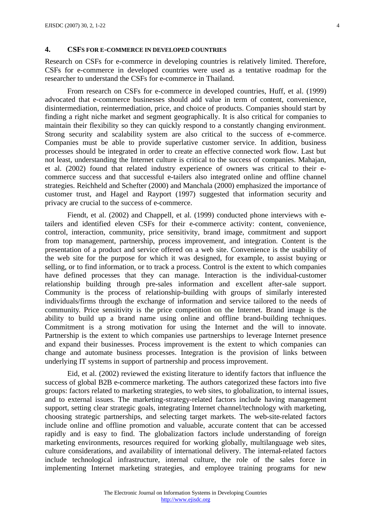Research on CSFs for e-commerce in developing countries is relatively limited. Therefore, CSFs for e-commerce in developed countries were used as a tentative roadmap for the researcher to understand the CSFs for e-commerce in Thailand.

From research on CSFs for e-commerce in developed countries, Huff, et al. (1999) advocated that e-commerce businesses should add value in term of content, convenience, disintermediation, reintermediation, price, and choice of products. Companies should start by finding a right niche market and segment geographically. It is also critical for companies to maintain their flexibility so they can quickly respond to a constantly changing environment. Strong security and scalability system are also critical to the success of e-commerce. Companies must be able to provide superlative customer service. In addition, business processes should be integrated in order to create an effective connected work flow. Last but not least, understanding the Internet culture is critical to the success of companies. Mahajan, et al. (2002) found that related industry experience of owners was critical to their ecommerce success and that successful e-tailers also integrated online and offline channel strategies. Reichheld and Schefter (2000) and Manchala (2000) emphasized the importance of customer trust, and Hagel and Rayport (1997) suggested that information security and privacy are crucial to the success of e-commerce.

Fiendt, et al. (2002) and Chappell, et al. (1999) conducted phone interviews with etailers and identified eleven CSFs for their e-commerce activity: content, convenience, control, interaction, community, price sensitivity, brand image, commitment and support from top management, partnership, process improvement, and integration. Content is the presentation of a product and service offered on a web site. Convenience is the usability of the web site for the purpose for which it was designed, for example, to assist buying or selling, or to find information, or to track a process. Control is the extent to which companies have defined processes that they can manage. Interaction is the individual-customer relationship building through pre-sales information and excellent after-sale support. Community is the process of relationship-building with groups of similarly interested individuals/firms through the exchange of information and service tailored to the needs of community. Price sensitivity is the price competition on the Internet. Brand image is the ability to build up a brand name using online and offline brand-building techniques. Commitment is a strong motivation for using the Internet and the will to innovate. Partnership is the extent to which companies use partnerships to leverage Internet presence and expand their businesses. Process improvement is the extent to which companies can change and automate business processes. Integration is the provision of links between underlying IT systems in support of partnership and process improvement.

Eid, et al. (2002) reviewed the existing literature to identify factors that influence the success of global B2B e-commerce marketing. The authors categorized these factors into five groups: factors related to marketing strategies, to web sites, to globalization, to internal issues, and to external issues. The marketing-strategy-related factors include having management support, setting clear strategic goals, integrating Internet channel/technology with marketing, choosing strategic partnerships, and selecting target markets. The web-site-related factors include online and offline promotion and valuable, accurate content that can be accessed rapidly and is easy to find. The globalization factors include understanding of foreign marketing environments, resources required for working globally, multilanguage web sites, culture considerations, and availability of international delivery. The internal-related factors include technological infrastructure, internal culture, the role of the sales force in implementing Internet marketing strategies, and employee training programs for new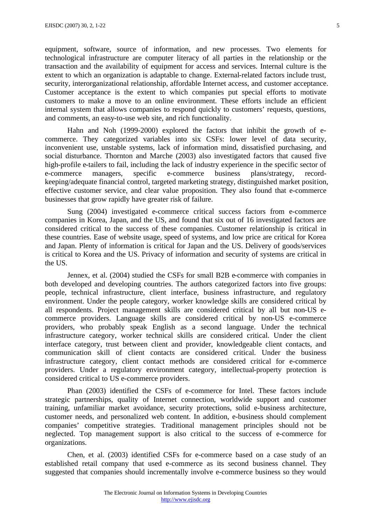equipment, software, source of information, and new processes. Two elements for technological infrastructure are computer literacy of all parties in the relationship or the transaction and the availability of equipment for access and services. Internal culture is the extent to which an organization is adaptable to change. External-related factors include trust, security, interorganizational relationship, affordable Internet access, and customer acceptance. Customer acceptance is the extent to which companies put special efforts to motivate customers to make a move to an online environment. These efforts include an efficient internal system that allows companies to respond quickly to customers' requests, questions, and comments, an easy-to-use web site, and rich functionality.

Hahn and Noh (1999-2000) explored the factors that inhibit the growth of ecommerce. They categorized variables into six CSFs: lower level of data security, inconvenient use, unstable systems, lack of information mind, dissatisfied purchasing, and social disturbance. Thornton and Marche (2003) also investigated factors that caused five high-profile e-tailers to fail, including the lack of industry experience in the specific sector of e-commerce managers, specific e-commerce business plans/strategy, recordkeeping/adequate financial control, targeted marketing strategy, distinguished market position, effective customer service, and clear value proposition. They also found that e-commerce businesses that grow rapidly have greater risk of failure.

Sung (2004) investigated e-commerce critical success factors from e-commerce companies in Korea, Japan, and the US, and found that six out of 16 investigated factors are considered critical to the success of these companies. Customer relationship is critical in these countries. Ease of website usage, speed of systems, and low price are critical for Korea and Japan. Plenty of information is critical for Japan and the US. Delivery of goods/services is critical to Korea and the US. Privacy of information and security of systems are critical in the US.

Jennex, et al. (2004) studied the CSFs for small B2B e-commerce with companies in both developed and developing countries. The authors categorized factors into five groups: people, technical infrastructure, client interface, business infrastructure, and regulatory environment. Under the people category, worker knowledge skills are considered critical by all respondents. Project management skills are considered critical by all but non-US ecommerce providers. Language skills are considered critical by non-US e-commerce providers, who probably speak English as a second language. Under the technical infrastructure category, worker technical skills are considered critical. Under the client interface category, trust between client and provider, knowledgeable client contacts, and communication skill of client contacts are considered critical. Under the business infrastructure category, client contact methods are considered critical for e-commerce providers. Under a regulatory environment category, intellectual-property protection is considered critical to US e-commerce providers.

Phan (2003) identified the CSFs of e-commerce for Intel. These factors include strategic partnerships, quality of Internet connection, worldwide support and customer training, unfamiliar market avoidance, security protections, solid e-business architecture, customer needs, and personalized web content. In addition, e-business should complement companies' competitive strategies. Traditional management principles should not be neglected. Top management support is also critical to the success of e-commerce for organizations.

Chen, et al. (2003) identified CSFs for e-commerce based on a case study of an established retail company that used e-commerce as its second business channel. They suggested that companies should incrementally involve e-commerce business so they would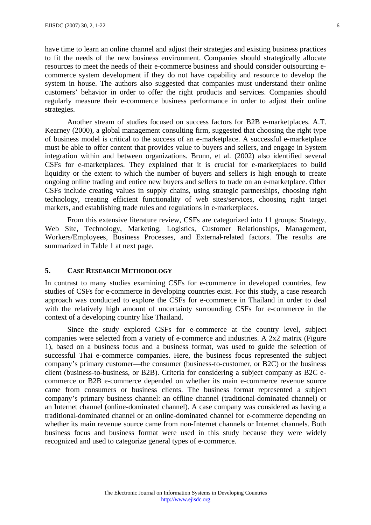have time to learn an online channel and adjust their strategies and existing business practices to fit the needs of the new business environment. Companies should strategically allocate resources to meet the needs of their e-commerce business and should consider outsourcing ecommerce system development if they do not have capability and resource to develop the system in house. The authors also suggested that companies must understand their online customers' behavior in order to offer the right products and services. Companies should regularly measure their e-commerce business performance in order to adjust their online strategies.

Another stream of studies focused on success factors for B2B e-marketplaces. A.T. Kearney (2000), a global management consulting firm, suggested that choosing the right type of business model is critical to the success of an e-marketplace. A successful e-marketplace must be able to offer content that provides value to buyers and sellers, and engage in System integration within and between organizations. Brunn, et al. (2002) also identified several CSFs for e-marketplaces. They explained that it is crucial for e-marketplaces to build liquidity or the extent to which the number of buyers and sellers is high enough to create ongoing online trading and entice new buyers and sellers to trade on an e-marketplace. Other CSFs include creating values in supply chains, using strategic partnerships, choosing right technology, creating efficient functionality of web sites/services, choosing right target markets, and establishing trade rules and regulations in e-marketplaces.

From this extensive literature review, CSFs are categorized into 11 groups: Strategy, Web Site, Technology, Marketing, Logistics, Customer Relationships, Management, Workers/Employees, Business Processes, and External-related factors. The results are summarized in Table 1 at next page.

#### **5. CASE RESEARCH METHODOLOGY**

In contrast to many studies examining CSFs for e-commerce in developed countries, few studies of CSFs for e-commerce in developing countries exist. For this study, a case research approach was conducted to explore the CSFs for e-commerce in Thailand in order to deal with the relatively high amount of uncertainty surrounding CSFs for e-commerce in the context of a developing country like Thailand.

Since the study explored CSFs for e-commerce at the country level, subject companies were selected from a variety of e-commerce and industries. A 2x2 matrix (Figure 1), based on a business focus and a business format, was used to guide the selection of successful Thai e-commerce companies. Here, the business focus represented the subject company's primary customer— the consumer (business-to-customer, or B2C) or the business client (business-to-business, or B2B). Criteria for considering a subject company as B2C ecommerce or B2B e-commerce depended on whether its main e-commerce revenue source came from consumers or business clients. The business format represented a subject company's primary business channel: an offline channel (traditional-dominated channel) or an Internet channel (online-dominated channel). A case company was considered as having a traditional-dominated channel or an online-dominated channel for e-commerce depending on whether its main revenue source came from non-Internet channels or Internet channels. Both business focus and business format were used in this study because they were widely recognized and used to categorize general types of e-commerce.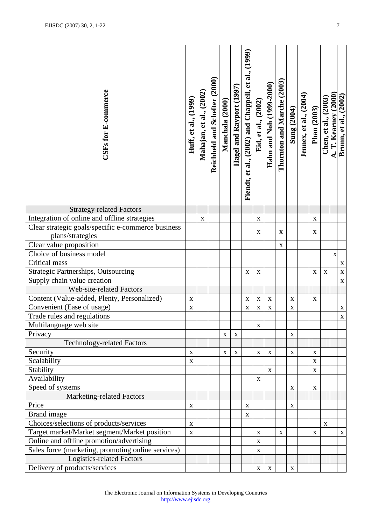| CSFs for E-commerce                                                                      | Huff, et al., (1999) | Mahajan, et al., (2002) | Reichheld and Schefter (2000) | Manchala (2000) | Hagel and Rayport (1997) | (1999)<br>Fiendt, et al., (2002) and Chappell, et al., | Eid, et al., (2002) | Hahn and Noh (1999-2000) | Thornton and Marche (2003) | Sung $(2004)$ | <b>Jennex, et al., (2004)</b> | Phan (2003)  | Chen, et al., (2003) | Kearney (2000 | <b>Brunn, et al., (2002)</b> |
|------------------------------------------------------------------------------------------|----------------------|-------------------------|-------------------------------|-----------------|--------------------------|--------------------------------------------------------|---------------------|--------------------------|----------------------------|---------------|-------------------------------|--------------|----------------------|---------------|------------------------------|
| <b>Strategy-related Factors</b>                                                          |                      |                         |                               |                 |                          |                                                        |                     |                          |                            |               |                               |              |                      |               |                              |
| Integration of online and offline strategies                                             |                      | $\mathbf X$             |                               |                 |                          |                                                        | $\mathbf X$         |                          |                            |               |                               | $\mathbf X$  |                      |               |                              |
| Clear strategic goals/specific e-commerce business                                       |                      |                         |                               |                 |                          |                                                        | $\mathbf X$         |                          | X                          |               |                               | $\mathbf{X}$ |                      |               |                              |
| plans/strategies                                                                         |                      |                         |                               |                 |                          |                                                        |                     |                          |                            |               |                               |              |                      |               |                              |
| Clear value proposition                                                                  |                      |                         |                               |                 |                          |                                                        |                     |                          | $\mathbf X$                |               |                               |              |                      |               |                              |
| Choice of business model                                                                 |                      |                         |                               |                 |                          |                                                        |                     |                          |                            |               |                               |              |                      | $\mathbf X$   |                              |
| <b>Critical mass</b><br>Strategic Partnerships, Outsourcing                              |                      |                         |                               |                 |                          |                                                        |                     |                          |                            |               |                               |              |                      |               | $\mathbf X$                  |
| Supply chain value creation                                                              |                      |                         |                               |                 |                          | $\mathbf X$                                            | $\mathbf X$         |                          |                            |               |                               | $\mathbf X$  | $\mathbf X$          |               | $\mathbf X$<br>$\mathbf X$   |
| Web-site-related Factors                                                                 |                      |                         |                               |                 |                          |                                                        |                     |                          |                            |               |                               |              |                      |               |                              |
| Content (Value-added, Plenty, Personalized)                                              | $\mathbf X$          |                         |                               |                 |                          | $\mathbf X$                                            | $\mathbf X$         | $\mathbf X$              |                            | $\mathbf X$   |                               | $\mathbf X$  |                      |               |                              |
| Convenient (Ease of usage)                                                               | $\mathbf X$          |                         |                               |                 |                          | $\mathbf X$                                            | $\mathbf X$         | $\mathbf X$              |                            | $\mathbf X$   |                               |              |                      |               | $\mathbf X$                  |
| Trade rules and regulations                                                              |                      |                         |                               |                 |                          |                                                        |                     |                          |                            |               |                               |              |                      |               | $\mathbf X$                  |
| Multilanguage web site                                                                   |                      |                         |                               |                 |                          |                                                        | $\mathbf X$         |                          |                            |               |                               |              |                      |               |                              |
| Privacy                                                                                  |                      |                         |                               | $\mathbf X$     | X                        |                                                        |                     |                          |                            | $\mathbf X$   |                               |              |                      |               |                              |
| <b>Technology-related Factors</b>                                                        |                      |                         |                               |                 |                          |                                                        |                     |                          |                            |               |                               |              |                      |               |                              |
| Security                                                                                 | $\mathbf X$          |                         |                               | $\mathbf X$     | $\mathbf X$              |                                                        | $\mathbf X$         | X                        |                            | $\mathbf X$   |                               | X            |                      |               |                              |
| Scalability                                                                              | $\mathbf X$          |                         |                               |                 |                          |                                                        |                     |                          |                            |               |                               | $\mathbf X$  |                      |               |                              |
| Stability                                                                                |                      |                         |                               |                 |                          |                                                        |                     | $\mathbf X$              |                            |               |                               | $\mathbf X$  |                      |               |                              |
| Availability                                                                             |                      |                         |                               |                 |                          |                                                        | $\mathbf X$         |                          |                            |               |                               |              |                      |               |                              |
| Speed of systems                                                                         |                      |                         |                               |                 |                          |                                                        |                     |                          |                            | $\mathbf X$   |                               | $\mathbf X$  |                      |               |                              |
| Marketing-related Factors                                                                |                      |                         |                               |                 |                          |                                                        |                     |                          |                            |               |                               |              |                      |               |                              |
| Price                                                                                    | $\mathbf X$          |                         |                               |                 |                          | $\mathbf X$                                            |                     |                          |                            | X             |                               |              |                      |               |                              |
| Brand image                                                                              | $\mathbf X$          |                         |                               |                 |                          | $\mathbf X$                                            |                     |                          |                            |               |                               |              |                      |               |                              |
| Choices/selections of products/services                                                  |                      |                         |                               |                 |                          |                                                        | $\mathbf X$         |                          | $\mathbf{X}$               |               |                               | $\mathbf X$  | $\mathbf X$          |               | $\mathbf X$                  |
| Target market/Market segment/Market position<br>Online and offline promotion/advertising |                      |                         |                               |                 |                          |                                                        | $\mathbf X$         |                          |                            |               |                               |              |                      |               |                              |
| Sales force (marketing, promoting online services)                                       |                      |                         |                               |                 |                          |                                                        | X                   |                          |                            |               |                               |              |                      |               |                              |
| <b>Logistics-related Factors</b>                                                         |                      |                         |                               |                 |                          |                                                        |                     |                          |                            |               |                               |              |                      |               |                              |
| Delivery of products/services                                                            |                      |                         |                               |                 |                          |                                                        | $\mathbf X$         | $\mathbf X$              |                            | $\mathbf X$   |                               |              |                      |               |                              |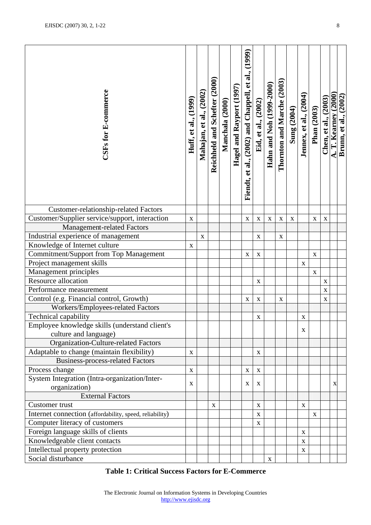| CSFs for E-commerce                                                                | Huff, et al., (1999) | Mahajan, et al., (2002) | Reichheld and Schefter (2000) | Manchala (2000) | Hagel and Rayport (1997) | (1999)<br>Fiendt, et al., (2002) and Chappell, et al., | Eid, et al., (2002)       | Hahn and Noh (1999-2000) | Thornton and Marche (2003) | Sung $(2004)$ | Jennex, et al., (2004) | Phan (2003)               | Chen, et al., (2003) | (2000)<br>Kearney | Brunn, et al., (2002) |
|------------------------------------------------------------------------------------|----------------------|-------------------------|-------------------------------|-----------------|--------------------------|--------------------------------------------------------|---------------------------|--------------------------|----------------------------|---------------|------------------------|---------------------------|----------------------|-------------------|-----------------------|
|                                                                                    |                      |                         |                               |                 |                          |                                                        |                           |                          |                            |               |                        |                           |                      |                   |                       |
| <b>Customer-relationship-related Factors</b>                                       |                      |                         |                               |                 |                          |                                                        |                           |                          |                            |               |                        |                           |                      |                   |                       |
| Customer/Supplier service/support, interaction                                     | $\mathbf X$          |                         |                               |                 |                          | X                                                      | $\boldsymbol{\mathrm{X}}$ | $\mathbf X$              | $\mathbf X$                | $\mathbf X$   |                        | $\mathbf X$               | $\mathbf X$          |                   |                       |
| Management-related Factors                                                         |                      |                         |                               |                 |                          |                                                        |                           |                          |                            |               |                        |                           |                      |                   |                       |
| Industrial experience of management                                                |                      | $\mathbf X$             |                               |                 |                          |                                                        | $\mathbf X$               |                          | X                          |               |                        |                           |                      |                   |                       |
| Knowledge of Internet culture                                                      | $\mathbf X$          |                         |                               |                 |                          |                                                        |                           |                          |                            |               |                        |                           |                      |                   |                       |
| Commitment/Support from Top Management                                             |                      |                         |                               |                 |                          | $\mathbf X$                                            | $\mathbf X$               |                          |                            |               |                        | $\mathbf X$               |                      |                   |                       |
| Project management skills                                                          |                      |                         |                               |                 |                          |                                                        |                           |                          |                            |               | $\mathbf X$            |                           |                      |                   |                       |
| Management principles                                                              |                      |                         |                               |                 |                          |                                                        |                           |                          |                            |               |                        | $\mathbf X$               |                      |                   |                       |
| Resource allocation                                                                |                      |                         |                               |                 |                          |                                                        | $\mathbf X$               |                          |                            |               |                        |                           | $\mathbf X$          |                   |                       |
| Performance measurement                                                            |                      |                         |                               |                 |                          |                                                        |                           |                          |                            |               |                        |                           | $\mathbf X$          |                   |                       |
| Control (e.g. Financial control, Growth)                                           |                      |                         |                               |                 |                          | X                                                      | X                         |                          | $\mathbf X$                |               |                        |                           | $\mathbf X$          |                   |                       |
| Workers/Employees-related Factors                                                  |                      |                         |                               |                 |                          |                                                        |                           |                          |                            |               |                        |                           |                      |                   |                       |
| Technical capability                                                               |                      |                         |                               |                 |                          |                                                        | $\mathbf X$               |                          |                            |               | $\mathbf X$            |                           |                      |                   |                       |
| Employee knowledge skills (understand client's                                     |                      |                         |                               |                 |                          |                                                        |                           |                          |                            |               | X                      |                           |                      |                   |                       |
| culture and language)                                                              |                      |                         |                               |                 |                          |                                                        |                           |                          |                            |               |                        |                           |                      |                   |                       |
| Organization-Culture-related Factors<br>Adaptable to change (maintain flexibility) |                      |                         |                               |                 |                          |                                                        |                           |                          |                            |               |                        |                           |                      |                   |                       |
|                                                                                    | $\mathbf X$          |                         |                               |                 |                          |                                                        | $\mathbf X$               |                          |                            |               |                        |                           |                      |                   |                       |
| <b>Business-process-related Factors</b><br>Process change                          |                      |                         |                               |                 |                          |                                                        |                           |                          |                            |               |                        |                           |                      |                   |                       |
| System Integration (Intra-organization/Inter-                                      | $\mathbf X$          |                         |                               |                 |                          | $\mathbf X$                                            | $\mathbf X$               |                          |                            |               |                        |                           |                      |                   |                       |
| organization)                                                                      | X                    |                         |                               |                 |                          | X                                                      | X                         |                          |                            |               |                        |                           |                      | X                 |                       |
| <b>External Factors</b>                                                            |                      |                         |                               |                 |                          |                                                        |                           |                          |                            |               |                        |                           |                      |                   |                       |
| Customer trust                                                                     |                      |                         | $\mathbf X$                   |                 |                          |                                                        | X                         |                          |                            |               | $\mathbf X$            |                           |                      |                   |                       |
| Internet connection (affordability, speed, reliability)                            |                      |                         |                               |                 |                          |                                                        | X                         |                          |                            |               |                        | $\boldsymbol{\mathrm{X}}$ |                      |                   |                       |
| Computer literacy of customers                                                     |                      |                         |                               |                 |                          |                                                        | $\mathbf X$               |                          |                            |               |                        |                           |                      |                   |                       |
| Foreign language skills of clients                                                 |                      |                         |                               |                 |                          |                                                        |                           |                          |                            |               | $\mathbf X$            |                           |                      |                   |                       |
| Knowledgeable client contacts                                                      |                      |                         |                               |                 |                          |                                                        |                           |                          |                            |               | $\mathbf X$            |                           |                      |                   |                       |
| Intellectual property protection                                                   |                      |                         |                               |                 |                          |                                                        |                           |                          |                            |               | $\mathbf X$            |                           |                      |                   |                       |
| Social disturbance                                                                 |                      |                         |                               |                 |                          |                                                        |                           | $\mathbf X$              |                            |               |                        |                           |                      |                   |                       |

# **Table 1: Critical Success Factors for E-Commerce**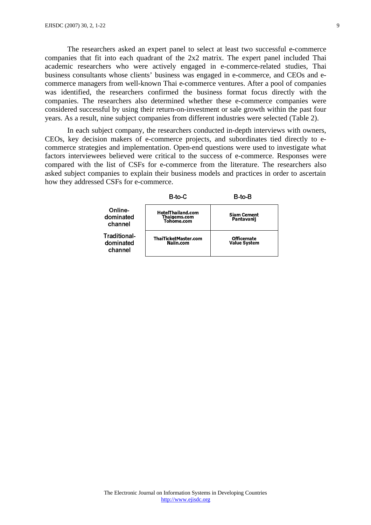The researchers asked an expert panel to select at least two successful e-commerce companies that fit into each quadrant of the 2x2 matrix. The expert panel included Thai academic researchers who were actively engaged in e-commerce-related studies, Thai business consultants whose clients' business was engaged in e-commerce, and CEOs and ecommerce managers from well-known Thai e-commerce ventures. After a pool of companies was identified, the researchers confirmed the business format focus directly with the companies. The researchers also determined whether these e-commerce companies were considered successful by using their return-on-investment or sale growth within the past four years. As a result, nine subject companies from different industries were selected (Table 2).

In each subject company, the researchers conducted in-depth interviews with owners, CEOs, key decision makers of e-commerce projects, and subordinates tied directly to ecommerce strategies and implementation. Open-end questions were used to investigate what factors interviewees believed were critical to the success of e-commerce. Responses were compared with the list of CSFs for e-commerce from the literature. The researchers also asked subject companies to explain their business models and practices in order to ascertain how they addressed CSFs for e-commerce.

|                                             | B-to-C                                          | B-to-B                                   |
|---------------------------------------------|-------------------------------------------------|------------------------------------------|
| Online-<br>dominated<br>channel             | HotelThailand.com<br>Thaigems.com<br>Tohome.com | <b>Siam Cement</b><br>Pantavanij         |
| <b>Fraditional-</b><br>dominated<br>channel | ThaiTicketMaster.com<br>Naiin.com               | <b>Officemate</b><br><b>Value System</b> |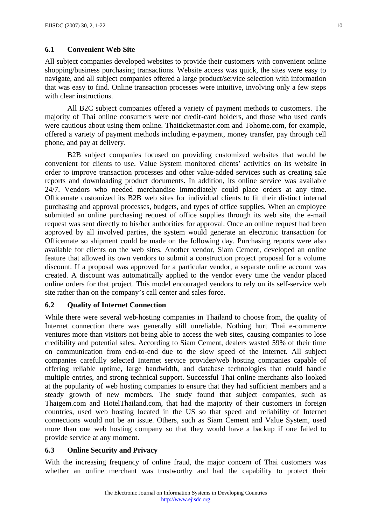#### **6.1 Convenient Web Site**

All subject companies developed websites to provide their customers with convenient online shopping/business purchasing transactions. Website access was quick, the sites were easy to navigate, and all subject companies offered a large product/service selection with information that was easy to find. Online transaction processes were intuitive, involving only a few steps with clear instructions.

All B2C subject companies offered a variety of payment methods to customers. The majority of Thai online consumers were not credit-card holders, and those who used cards were cautious about using them online. Thaiticketmaster.com and Tohome.com, for example, offered a variety of payment methods including e-payment, money transfer, pay through cell phone, and pay at delivery.

B2B subject companies focused on providing customized websites that would be convenient for clients to use. Value System monitored clients' activities on its website in order to improve transaction processes and other value-added services such as creating sale reports and downloading product documents. In addition, its online service was available 24/7. Vendors who needed merchandise immediately could place orders at any time. Officemate customized its B2B web sites for individual clients to fit their distinct internal purchasing and approval processes, budgets, and types of office supplies. When an employee submitted an online purchasing request of office supplies through its web site, the e-mail request was sent directly to his/her authorities for approval. Once an online request had been approved by all involved parties, the system would generate an electronic transaction for Officemate so shipment could be made on the following day. Purchasing reports were also available for clients on the web sites. Another vendor, Siam Cement, developed an online feature that allowed its own vendors to submit a construction project proposal for a volume discount. If a proposal was approved for a particular vendor, a separate online account was created. A discount was automatically applied to the vendor every time the vendor placed online orders for that project. This model encouraged vendors to rely on its self-service web site rather than on the company's call center and sales force.

## **6.2 Quality of Internet Connection**

While there were several web-hosting companies in Thailand to choose from, the quality of Internet connection there was generally still unreliable. Nothing hurt Thai e-commerce ventures more than visitors not being able to access the web sites, causing companies to lose credibility and potential sales. According to Siam Cement, dealers wasted 59% of their time on communication from end-to-end due to the slow speed of the Internet. All subject companies carefully selected Internet service provider/web hosting companies capable of offering reliable uptime, large bandwidth, and database technologies that could handle multiple entries, and strong technical support. Successful Thai online merchants also looked at the popularity of web hosting companies to ensure that they had sufficient members and a steady growth of new members. The study found that subject companies, such as Thaigem.com and HotelThailand.com, that had the majority of their customers in foreign countries, used web hosting located in the US so that speed and reliability of Internet connections would not be an issue. Others, such as Siam Cement and Value System, used more than one web hosting company so that they would have a backup if one failed to provide service at any moment.

## **6.3 Online Security and Privacy**

With the increasing frequency of online fraud, the major concern of Thai customers was whether an online merchant was trustworthy and had the capability to protect their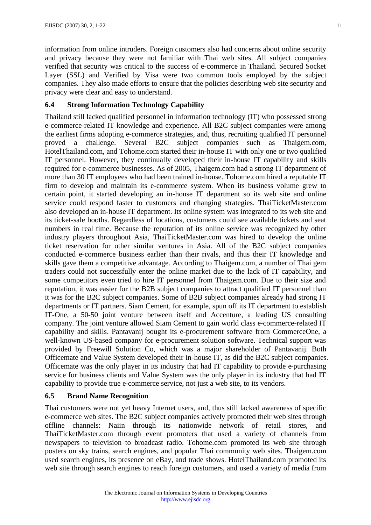information from online intruders. Foreign customers also had concerns about online security and privacy because they were not familiar with Thai web sites. All subject companies verified that security was critical to the success of e-commerce in Thailand. Secured Socket Layer (SSL) and Verified by Visa were two common tools employed by the subject companies. They also made efforts to ensure that the policies describing web site security and privacy were clear and easy to understand.

# **6.4 Strong Information Technology Capability**

Thailand still lacked qualified personnel in information technology (IT) who possessed strong e-commerce-related IT knowledge and experience. All B2C subject companies were among the earliest firms adopting e-commerce strategies, and, thus, recruiting qualified IT personnel proved a challenge. Several B2C subject companies such as Thaigem.com, HotelThailand.com, and Tohome.com started their in-house IT with only one or two qualified IT personnel. However, they continually developed their in-house IT capability and skills required for e-commerce businesses. As of 2005, Thaigem.com had a strong IT department of more than 30 IT employees who had been trained in-house. Tohome.com hired a reputable IT firm to develop and maintain its e-commerce system. When its business volume grew to certain point, it started developing an in-house IT department so its web site and online service could respond faster to customers and changing strategies. ThaiTicketMaster.com also developed an in-house IT department. Its online system was integrated to its web site and its ticket-sale booths. Regardless of locations, customers could see available tickets and seat numbers in real time. Because the reputation of its online service was recognized by other industry players throughout Asia, ThaiTicketMaster.com was hired to develop the online ticket reservation for other similar ventures in Asia. All of the B2C subject companies conducted e-commerce business earlier than their rivals, and thus their IT knowledge and skills gave them a competitive advantage. According to Thaigem.com, a number of Thai gem traders could not successfully enter the online market due to the lack of IT capability, and some competitors even tried to hire IT personnel from Thaigem.com. Due to their size and reputation, it was easier for the B2B subject companies to attract qualified IT personnel than it was for the B2C subject companies. Some of B2B subject companies already had strong IT departments or IT partners. Siam Cement, for example, spun off its IT department to establish IT-One, a 50-50 joint venture between itself and Accenture, a leading US consulting company. The joint venture allowed Siam Cement to gain world class e-commerce-related IT capability and skills. Pantavanij bought its e-procurement software from CommerceOne, a well-known US-based company for e-procurement solution software. Technical support was provided by Freewill Solution Co, which was a major shareholder of Pantavanij. Both Officemate and Value System developed their in-house IT, as did the B2C subject companies. Officemate was the only player in its industry that had IT capability to provide e-purchasing service for business clients and Value System was the only player in its industry that had IT capability to provide true e-commerce service, not just a web site, to its vendors.

## **6.5 Brand Name Recognition**

Thai customers were not yet heavy Internet users, and, thus still lacked awareness of specific e-commerce web sites. The B2C subject companies actively promoted their web sites through offline channels: Naiin through its nationwide network of retail stores, and ThaiTicketMaster.com through event promoters that used a variety of channels from newspapers to television to broadcast radio. Tohome.com promoted its web site through posters on sky trains, search engines, and popular Thai community web sites. Thaigem.com used search engines, its presence on eBay, and trade shows. HotelThailand.com promoted its web site through search engines to reach foreign customers, and used a variety of media from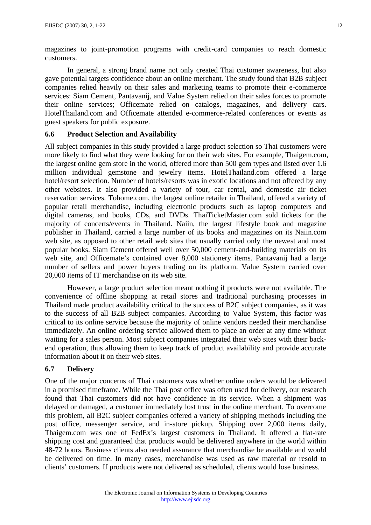magazines to joint-promotion programs with credit-card companies to reach domestic customers.

In general, a strong brand name not only created Thai customer awareness, but also gave potential targets confidence about an online merchant. The study found that B2B subject companies relied heavily on their sales and marketing teams to promote their e-commerce services: Siam Cement, Pantavanij, and Value System relied on their sales forces to promote their online services; Officemate relied on catalogs, magazines, and delivery cars. HotelThailand.com and Officemate attended e-commerce-related conferences or events as guest speakers for public exposure.

#### **6.6 Product Selection and Availability**

All subject companies in this study provided a large product selection so Thai customers were more likely to find what they were looking for on their web sites. For example, Thaigem.com, the largest online gem store in the world, offered more than 500 gem types and listed over 1.6 million individual gemstone and jewelry items. HotelThailand.com offered a large hotel/resort selection. Number of hotels/resorts was in exotic locations and not offered by any other websites. It also provided a variety of tour, car rental, and domestic air ticket reservation services. Tohome.com, the largest online retailer in Thailand, offered a variety of popular retail merchandise, including electronic products such as laptop computers and digital cameras, and books, CDs, and DVDs. ThaiTicketMaster.com sold tickets for the majority of concerts/events in Thailand. Naiin, the largest lifestyle book and magazine publisher in Thailand, carried a large number of its books and magazines on its Naiin.com web site, as opposed to other retail web sites that usually carried only the newest and most popular books. Siam Cement offered well over 50,000 cement-and-building materials on its web site, and Officemate's contained over 8,000 stationery items. Pantavanij had a large number of sellers and power buyers trading on its platform. Value System carried over 20,000 items of IT merchandise on its web site.

However, a large product selection meant nothing if products were not available. The convenience of offline shopping at retail stores and traditional purchasing processes in Thailand made product availability critical to the success of B2C subject companies, as it was to the success of all B2B subject companies. According to Value System, this factor was critical to its online service because the majority of online vendors needed their merchandise immediately. An online ordering service allowed them to place an order at any time without waiting for a sales person. Most subject companies integrated their web sites with their backend operation, thus allowing them to keep track of product availability and provide accurate information about it on their web sites.

## **6.7 Delivery**

One of the major concerns of Thai customers was whether online orders would be delivered in a promised timeframe. While the Thai post office was often used for delivery, our research found that Thai customers did not have confidence in its service. When a shipment was delayed or damaged, a customer immediately lost trust in the online merchant. To overcome this problem, all B2C subject companies offered a variety of shipping methods including the post office, messenger service, and in-store pickup. Shipping over 2,000 items daily, Thaigem.com was one of FedEx's largest customers in Thailand. It offered a flat-rate shipping cost and guaranteed that products would be delivered anywhere in the world within 48-72 hours. Business clients also needed assurance that merchandise be available and would be delivered on time. In many cases, merchandise was used as raw material or resold to clients' customers. If products were not delivered as scheduled, clients would lose business.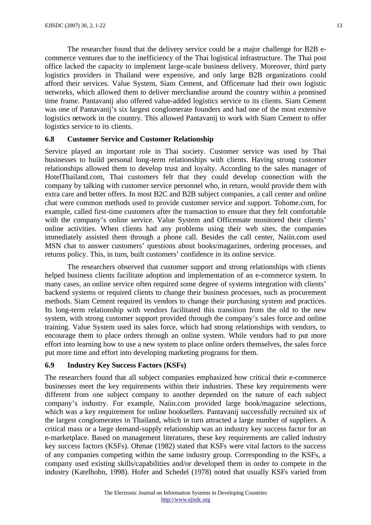The researcher found that the delivery service could be a major challenge for B2B ecommerce ventures due to the inefficiency of the Thai logistical infrastructure. The Thai post office lacked the capacity to implement large-scale business delivery. Moreover, third party logistics providers in Thailand were expensive, and only large B2B organizations could afford their services. Value System, Siam Cement, and Officemate had their own logistic networks, which allowed them to deliver merchandise around the country within a promised time frame. Pantavanij also offered value-added logistics service to its clients. Siam Cement was one of Pantavanij's six largest conglomerate founders and had one of the most extensive logistics network in the country. This allowed Pantavanij to work with Siam Cement to offer logistics service to its clients.

#### **6.8 Customer Service and Customer Relationship**

Service played an important role in Thai society. Customer service was used by Thai businesses to build personal long-term relationships with clients. Having strong customer relationships allowed them to develop trust and loyalty. According to the sales manager of HotelThailand.com, Thai customers felt that they could develop connection with the company by talking with customer service personnel who, in return, would provide them with extra care and better offers. In most B2C and B2B subject companies, a call center and online chat were common methods used to provide customer service and support. Tohome.com, for example, called first-time customers after the transaction to ensure that they felt comfortable with the company's online service. Value System and Officemate monitored their clients' online activities. When clients had any problems using their web sites, the companies immediately assisted them through a phone call. Besides the call center, Naiin.com used MSN chat to answer customers' questions about books/magazines, ordering processes, and returns policy. This, in turn, built customers' confidence in its online service.

The researchers observed that customer support and strong relationships with clients helped business clients facilitate adoption and implementation of an e-commerce system. In many cases, an online service often required some degree of systems integration with clients' backend systems or required clients to change their business processes, such as procurement methods. Siam Cement required its vendors to change their purchasing system and practices. Its long-term relationship with vendors facilitated this transition from the old to the new system, with strong customer support provided through the company's sales force and online training. Value System used its sales force, which had strong relationships with vendors, to encourage them to place orders through an online system. While vendors had to put more effort into learning how to use a new system to place online orders themselves, the sales force put more time and effort into developing marketing programs for them.

#### **6.9 Industry Key Success Factors (KSFs)**

The researchers found that all subject companies emphasized how critical their e-commerce businesses meet the key requirements within their industries. These key requirements were different from one subject company to another depended on the nature of each subject company's industry. For example, Naiin.com provided large book/magazine selections, which was a key requirement for online booksellers. Pantavanij successfully recruited six of the largest conglomerates in Thailand, which in turn attracted a large number of suppliers. A critical mass or a large demand-supply relationship was an industry key success factor for an e-marketplace. Based on management literatures, these key requirements are called industry key success factors (KSFs). Ohmae (1982) stated that KSFs were vital factors to the success of any companies competing within the same industry group. Corresponding to the KSFs, a company used existing skills/capabilities and/or developed them in order to compete in the industry (Katelhohn, 1998). Hofer and Schedel (1978) noted that usually KSFs varied from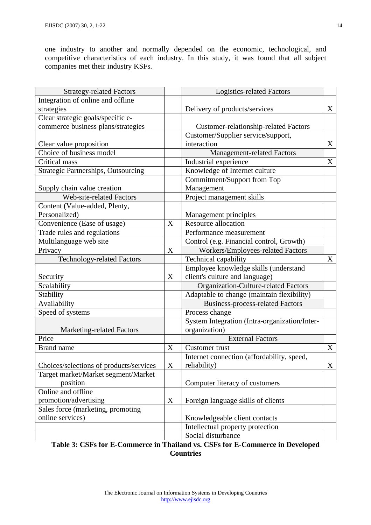one industry to another and normally depended on the economic, technological, and competitive characteristics of each industry. In this study, it was found that all subject companies met their industry KSFs.

| <b>Strategy-related Factors</b>            |             | <b>Logistics-related Factors</b>              |                   |
|--------------------------------------------|-------------|-----------------------------------------------|-------------------|
| Integration of online and offline          |             |                                               |                   |
| strategies                                 |             | Delivery of products/services                 | X                 |
| Clear strategic goals/specific e-          |             |                                               |                   |
| commerce business plans/strategies         |             | <b>Customer-relationship-related Factors</b>  |                   |
|                                            |             | Customer/Supplier service/support,            |                   |
| Clear value proposition                    |             | interaction                                   | X                 |
| Choice of business model                   |             | <b>Management-related Factors</b>             |                   |
| Critical mass                              |             | Industrial experience                         | X                 |
| <b>Strategic Partnerships, Outsourcing</b> |             | Knowledge of Internet culture                 |                   |
|                                            |             | Commitment/Support from Top                   |                   |
| Supply chain value creation                |             | Management                                    |                   |
| <b>Web-site-related Factors</b>            |             | Project management skills                     |                   |
| Content (Value-added, Plenty,              |             |                                               |                   |
| Personalized)                              |             | Management principles                         |                   |
| Convenience (Ease of usage)                | X           | Resource allocation                           |                   |
| Trade rules and regulations                |             | Performance measurement                       |                   |
| Multilanguage web site                     |             | Control (e.g. Financial control, Growth)      |                   |
| Privacy                                    | X           | Workers/Employees-related Factors             |                   |
| <b>Technology-related Factors</b>          |             | Technical capability                          | X                 |
|                                            |             | Employee knowledge skills (understand         |                   |
| Security                                   | X           | client's culture and language)                |                   |
| Scalability                                |             | Organization-Culture-related Factors          |                   |
| Stability                                  |             | Adaptable to change (maintain flexibility)    |                   |
| Availability                               |             | <b>Business-process-related Factors</b>       |                   |
| Speed of systems                           |             | Process change                                |                   |
|                                            |             | System Integration (Intra-organization/Inter- |                   |
| <b>Marketing-related Factors</b>           |             | organization)                                 |                   |
| Price                                      |             | <b>External Factors</b>                       |                   |
| <b>Brand</b> name                          | $\mathbf X$ | Customer trust                                | X                 |
|                                            |             | Internet connection (affordability, speed,    |                   |
| Choices/selections of products/services    | $\mathbf X$ | reliability)                                  | $X_{\mathcal{C}}$ |
| Target market/Market segment/Market        |             |                                               |                   |
| position                                   |             | Computer literacy of customers                |                   |
| Online and offline                         |             |                                               |                   |
| promotion/advertising                      | $\mathbf X$ | Foreign language skills of clients            |                   |
| Sales force (marketing, promoting          |             |                                               |                   |
| online services)                           |             | Knowledgeable client contacts                 |                   |
|                                            |             | Intellectual property protection              |                   |
|                                            |             | Social disturbance                            |                   |
|                                            |             |                                               |                   |

# **Table 3: CSFs for E-Commerce in Thailand vs. CSFs for E-Commerce in Developed Countries**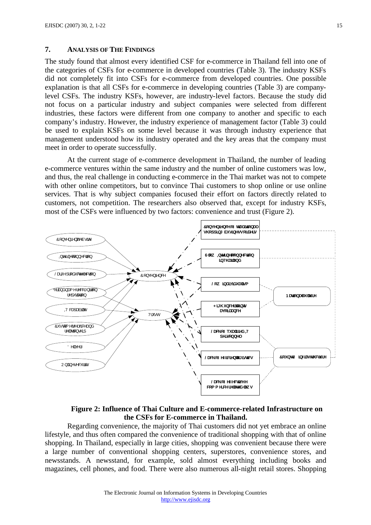#### **7. ANALYSIS OF THE FINDINGS**

The study found that almost every identified CSF for e-commerce in Thailand fell into one of the categories of CSFs for e-commerce in developed countries (Table 3). The industry KSFs did not completely fit into CSFs for e-commerce from developed countries. One possible explanation is that all CSFs for e-commerce in developing countries (Table 3) are companylevel CSFs. The industry KSFs, however, are industry-level factors. Because the study did not focus on a particular industry and subject companies were selected from different industries, these factors were different from one company to another and specific to each company's industry. However, the industry experience of management factor (Table 3) could be used to explain KSFs on some level because it was through industry experience that management understood how its industry operated and the key areas that the company must meet in order to operate successfully.

At the current stage of e-commerce development in Thailand, the number of leading e-commerce ventures within the same industry and the number of online customers was low, and thus, the real challenge in conducting e-commerce in the Thai market was not to compete with other online competitors, but to convince Thai customers to shop online or use online services. That is why subject companies focused their effort on factors directly related to customers, not competition. The researchers also observed that, except for industry KSFs, most of the CSFs were influenced by two factors: convenience and trust (Figure 2).



**Figure 2: Influence of Thai Culture and E-commerce-related Infrastructure on the CSFs for E-commerce in Thailand.**

Regarding convenience, the majority of Thai customers did not yet embrace an online lifestyle, and thus often compared the convenience of traditional shopping with that of online shopping. In Thailand, especially in large cities, shopping was convenient because there were a large number of conventional shopping centers, superstores, convenience stores, and newsstands. A newsstand, for example, sold almost everything including books and magazines, cell phones, and food. There were also numerous all-night retail stores. Shopping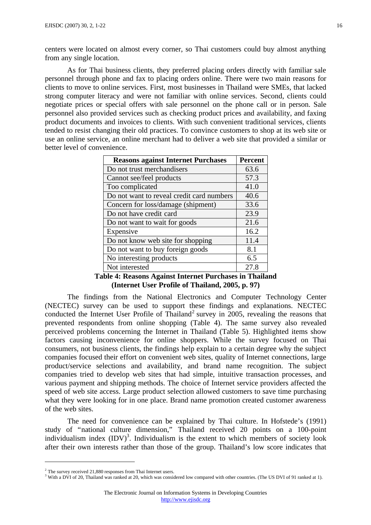centers were located on almost every corner, so Thai customers could buy almost anything from any single location.

As for Thai business clients, they preferred placing orders directly with familiar sale personnel through phone and fax to placing orders online. There were two main reasons for clients to move to online services. First, most businesses in Thailand were SMEs, that lacked strong computer literacy and were not familiar with online services. Second, clients could negotiate prices or special offers with sale personnel on the phone call or in person. Sale personnel also provided services such as checking product prices and availability, and faxing product documents and invoices to clients. With such convenient traditional services, clients tended to resist changing their old practices. To convince customers to shop at its web site or use an online service, an online merchant had to deliver a web site that provided a similar or better level of convenience.

| <b>Reasons against Internet Purchases</b> | <b>Percent</b> |
|-------------------------------------------|----------------|
| Do not trust merchandisers                | 63.6           |
| Cannot see/feel products                  | 57.3           |
| Too complicated                           | 41.0           |
| Do not want to reveal credit card numbers | 40.6           |
| Concern for loss/damage (shipment)        | 33.6           |
| Do not have credit card                   | 23.9           |
| Do not want to wait for goods             | 21.6           |
| Expensive                                 | 16.2           |
| Do not know web site for shopping         | 11.4           |
| Do not want to buy foreign goods          | 8.1            |
| No interesting products                   | 6.5            |
| Not interested                            | 27.8           |

**Table 4: Reasons Against Internet Purchases in Thailand (Internet User Profile of Thailand, 2005, p. 97)**

The findings from the National Electronics and Computer Technology Center (NECTEC) survey can be used to support these findings and explanations. NECTEC conducted the Internet User Profile of Thailand<sup>2</sup> survey in 2005, revealing the reasons that prevented respondents from online shopping (Table 4). The same survey also revealed perceived problems concerning the Internet in Thailand (Table 5). Highlighted items show factors causing inconvenience for online shoppers. While the survey focused on Thai consumers, not business clients, the findings help explain to a certain degree why the subject companies focused their effort on convenient web sites, quality of Internet connections, large product/service selections and availability, and brand name recognition. The subject companies tried to develop web sites that had simple, intuitive transaction processes, and various payment and shipping methods. The choice of Internet service providers affected the speed of web site access. Large product selection allowed customers to save time purchasing what they were looking for in one place. Brand name promotion created customer awareness of the web sites.

The need for convenience can be explained by Thai culture. In Hofstede's (1991) study of "national culture dimension," Thailand received 20 points on a 100-point individualism index  $(IDV)^3$ . Individualism is the extent to which members of society look after their own interests rather than those of the group. Thailand's low score indicates that

 $\overline{a}$ 

 $2$  The survey received 21,880 responses from Thai Internet users.

<sup>&</sup>lt;sup>3</sup> With a DVI of 20, Thailand was ranked at 20, which was considered low compared with other countries. (The US DVI of 91 ranked at 1).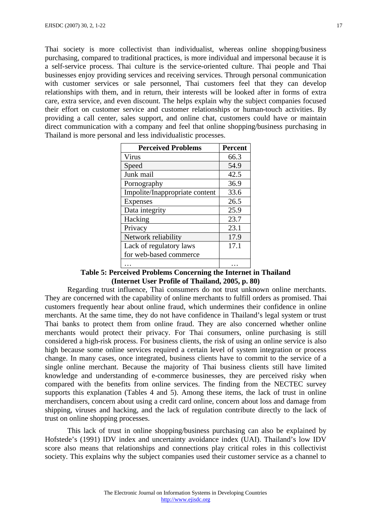Thai society is more collectivist than individualist, whereas online shopping/business purchasing, compared to traditional practices, is more individual and impersonal because it is a self-service process. Thai culture is the service-oriented culture. Thai people and Thai businesses enjoy providing services and receiving services. Through personal communication with customer services or sale personnel, Thai customers feel that they can develop relationships with them, and in return, their interests will be looked after in forms of extra care, extra service, and even discount. The helps explain why the subject companies focused their effort on customer service and customer relationships or human-touch activities. By providing a call center, sales support, and online chat, customers could have or maintain direct communication with a company and feel that online shopping/business purchasing in Thailand is more personal and less individualistic processes.

| <b>Perceived Problems</b>      | <b>Percent</b> |
|--------------------------------|----------------|
| Virus                          | 66.3           |
| Speed                          | 54.9           |
| Junk mail                      | 42.5           |
| Pornography                    | 36.9           |
| Impolite/Inappropriate content | 33.6           |
| <b>Expenses</b>                | 26.5           |
| Data integrity                 | 25.9           |
| Hacking                        | 23.7           |
| Privacy                        | 23.1           |
| Network reliability            | 17.9           |
| Lack of regulatory laws        | 17.1           |
| for web-based commerce         |                |
|                                |                |

**Table 5: Perceived Problems Concerning the Internet in Thailand (Internet User Profile of Thailand, 2005, p. 80)**

Regarding trust influence, Thai consumers do not trust unknown online merchants. They are concerned with the capability of online merchants to fulfill orders as promised. Thai customers frequently hear about online fraud, which undermines their confidence in online merchants. At the same time, they do not have confidence in Thailand's legal system or trust Thai banks to protect them from online fraud. They are also concerned whether online merchants would protect their privacy. For Thai consumers, online purchasing is still considered a high-risk process. For business clients, the risk of using an online service is also high because some online services required a certain level of system integration or process change. In many cases, once integrated, business clients have to commit to the service of a single online merchant. Because the majority of Thai business clients still have limited knowledge and understanding of e-commerce businesses, they are perceived risky when compared with the benefits from online services. The finding from the NECTEC survey supports this explanation (Tables 4 and 5). Among these items, the lack of trust in online merchandisers, concern about using a credit card online, concern about loss and damage from shipping, viruses and hacking, and the lack of regulation contribute directly to the lack of trust on online shopping processes.

This lack of trust in online shopping/business purchasing can also be explained by Hofstede's (1991) IDV index and uncertainty avoidance index (UAI). Thailand's low IDV score also means that relationships and connections play critical roles in this collectivist society. This explains why the subject companies used their customer service as a channel to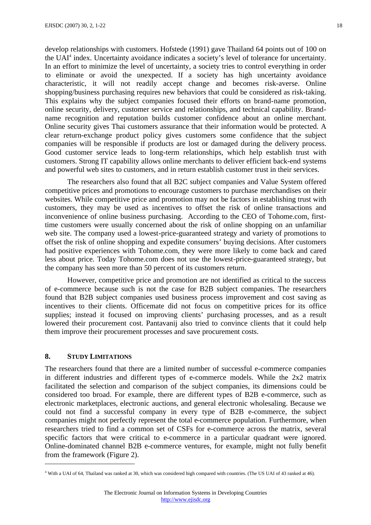develop relationships with customers. Hofstede (1991) gave Thailand 64 points out of 100 on the UAI<sup>4</sup> index. Uncertainty avoidance indicates a society's level of tolerance for uncertainty. In an effort to minimize the level of uncertainty, a society tries to control everything in order to eliminate or avoid the unexpected. If a society has high uncertainty avoidance characteristic, it will not readily accept change and becomes risk-averse. Online shopping/business purchasing requires new behaviors that could be considered as risk-taking. This explains why the subject companies focused their efforts on brand-name promotion, online security, delivery, customer service and relationships, and technical capability. Brandname recognition and reputation builds customer confidence about an online merchant. Online security gives Thai customers assurance that their information would be protected. A clear return-exchange product policy gives customers some confidence that the subject companies will be responsible if products are lost or damaged during the delivery process. Good customer service leads to long-term relationships, which help establish trust with customers. Strong IT capability allows online merchants to deliver efficient back-end systems and powerful web sites to customers, and in return establish customer trust in their services.

The researchers also found that all B2C subject companies and Value System offered competitive prices and promotions to encourage customers to purchase merchandises on their websites. While competitive price and promotion may not be factors in establishing trust with customers, they may be used as incentives to offset the risk of online transactions and inconvenience of online business purchasing. According to the CEO of Tohome.com, firsttime customers were usually concerned about the risk of online shopping on an unfamiliar web site. The company used a lowest-price-guaranteed strategy and variety of promotions to offset the risk of online shopping and expedite consumers' buying decisions. After customers had positive experiences with Tohome.com, they were more likely to come back and cared less about price. Today Tohome.com does not use the lowest-price-guaranteed strategy, but the company has seen more than 50 percent of its customers return.

However, competitive price and promotion are not identified as critical to the success of e-commerce because such is not the case for B2B subject companies. The researchers found that B2B subject companies used business process improvement and cost saving as incentives to their clients. Officemate did not focus on competitive prices for its office supplies; instead it focused on improving clients' purchasing processes, and as a result lowered their procurement cost. Pantavanij also tried to convince clients that it could help them improve their procurement processes and save procurement costs.

## **8. STUDY LIMITATIONS**

 $\overline{a}$ 

The researchers found that there are a limited number of successful e-commerce companies in different industries and different types of e-commerce models. While the 2x2 matrix facilitated the selection and comparison of the subject companies, its dimensions could be considered too broad. For example, there are different types of B2B e-commerce, such as electronic marketplaces, electronic auctions, and general electronic wholesaling. Because we could not find a successful company in every type of B2B e-commerce, the subject companies might not perfectly represent the total e-commerce population. Furthermore, when researchers tried to find a common set of CSFs for e-commerce across the matrix, several specific factors that were critical to e-commerce in a particular quadrant were ignored. Online-dominated channel B2B e-commerce ventures, for example, might not fully benefit from the framework (Figure 2).

<sup>&</sup>lt;sup>4</sup> With a UAI of 64, Thailand was ranked at 30, which was considered high compared with countries. (The US UAI of 43 ranked at 46).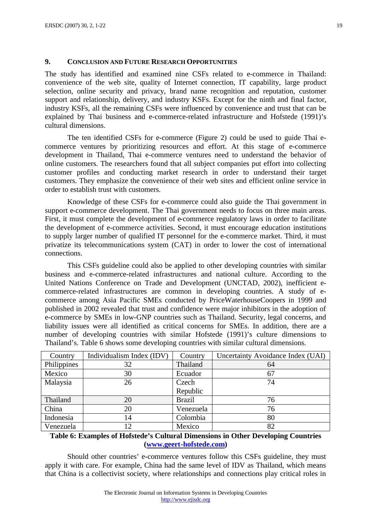## **9. CONCLUSION AND FUTURE RESEARCH OPPORTUNITIES**

The study has identified and examined nine CSFs related to e-commerce in Thailand: convenience of the web site, quality of Internet connection, IT capability, large product selection, online security and privacy, brand name recognition and reputation, customer support and relationship, delivery, and industry KSFs. Except for the ninth and final factor, industry KSFs, all the remaining CSFs were influenced by convenience and trust that can be explained by Thai business and e-commerce-related infrastructure and Hofstede (1991)'s cultural dimensions.

The ten identified CSFs for e-commerce (Figure 2) could be used to guide Thai ecommerce ventures by prioritizing resources and effort. At this stage of e-commerce development in Thailand, Thai e-commerce ventures need to understand the behavior of online customers. The researchers found that all subject companies put effort into collecting customer profiles and conducting market research in order to understand their target customers. They emphasize the convenience of their web sites and efficient online service in order to establish trust with customers.

Knowledge of these CSFs for e-commerce could also guide the Thai government in support e-commerce development. The Thai government needs to focus on three main areas. First, it must complete the development of e-commerce regulatory laws in order to facilitate the development of e-commerce activities. Second, it must encourage education institutions to supply larger number of qualified IT personnel for the e-commerce market. Third, it must privatize its telecommunications system (CAT) in order to lower the cost of international connections.

This CSFs guideline could also be applied to other developing countries with similar business and e-commerce-related infrastructures and national culture. According to the United Nations Conference on Trade and Development (UNCTAD, 2002), inefficient ecommerce-related infrastructures are common in developing countries. A study of ecommerce among Asia Pacific SMEs conducted by PriceWaterhouseCoopers in 1999 and published in 2002 revealed that trust and confidence were major inhibitors in the adoption of e-commerce by SMEs in low-GNP countries such as Thailand. Security, legal concerns, and liability issues were all identified as critical concerns for SMEs. In addition, there are a number of developing countries with similar Hofstede (1991)'s culture dimensions to Thailand's. Table 6 shows some developing countries with similar cultural dimensions.

| Country     | Individualism Index (IDV) | Country       | Uncertainty Avoidance Index (UAI) |
|-------------|---------------------------|---------------|-----------------------------------|
| Philippines | 32                        | Thailand      | 64                                |
| Mexico      | 30                        | Ecuador       | 67                                |
| Malaysia    | 26                        | Czech         | 74                                |
|             |                           | Republic      |                                   |
| Thailand    | 20                        | <b>Brazil</b> | 76                                |
| China       | 20                        | Venezuela     | 76                                |
| Indonesia   | 14                        | Colombia      | 80                                |
| Venezuela   | 12                        | Mexico        | 82                                |

# **Table 6: Examples of Hofstede's Cultural Dimensions in Other Developing Countries (www.geert-hofstede.com)**

Should other countries' e-commerce ventures follow this CSFs guideline, they must apply it with care. For example, China had the same level of IDV as Thailand, which means that China is a collectivist society, where relationships and connections play critical roles in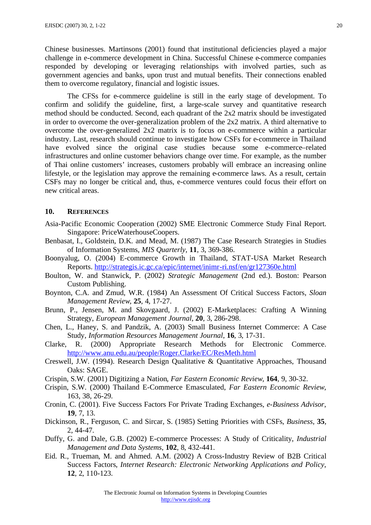Chinese businesses. Martinsons (2001) found that institutional deficiencies played a major challenge in e-commerce development in China. Successful Chinese e-commerce companies responded by developing or leveraging relationships with involved parties, such as government agencies and banks, upon trust and mutual benefits. Their connections enabled them to overcome regulatory, financial and logistic issues.

The CFSs for e-commerce guideline is still in the early stage of development. To confirm and solidify the guideline, first, a large-scale survey and quantitative research method should be conducted. Second, each quadrant of the 2x2 matrix should be investigated in order to overcome the over-generalization problem of the 2x2 matrix. A third alternative to overcome the over-generalized 2x2 matrix is to focus on e-commerce within a particular industry. Last, research should continue to investigate how CSFs for e-commerce in Thailand have evolved since the original case studies because some e-commerce–related infrastructures and online customer behaviors change over time. For example, as the number of Thai online customers' increases, customers probably will embrace an increasing online lifestyle, or the legislation may approve the remaining e-commerce laws. As a result, certain CSFs may no longer be critical and, thus, e-commerce ventures could focus their effort on new critical areas.

#### **10. REFERENCES**

- Asia-Pacific Economic Cooperation (2002) SME Electronic Commerce Study Final Report. Singapore: PriceWaterhouseCoopers.
- Benbasat, I., Goldstein, D.K. and Mead, M. (1987) The Case Research Strategies in Studies of Information Systems, *MIS Quarterly*, **11**, 3, 369-386.
- Boonyalug, O. (2004) E-commerce Growth in Thailand, STAT-USA Market Research Reports. http://strategis.ic.gc.ca/epic/internet/inimr-ri.nsf/en/gr127360e.html
- Boulton, W. and Stanwick, P. (2002) *Strategic Management* (2nd ed.). Boston: Pearson Custom Publishing.
- Boynton, C.A. and Zmud, W.R. (1984) An Assessment Of Critical Success Factors, *Sloan Management Review*, **25**, 4, 17-27.
- Brunn, P., Jensen, M. and Skovgaard, J. (2002) E-Marketplaces: Crafting A Winning Strategy, *European Management Journal*, **20**, 3, 286-298.
- Chen, L., Haney, S. and Pandzik, A. (2003) Small Business Internet Commerce: A Case Study, *Information Resources Management Journal*, **16**, 3, 17-31.
- Clarke, R. (2000) Appropriate Research Methods for Electronic Commerce. http://www.anu.edu.au/people/Roger.Clarke/EC/ResMeth.html
- Creswell, J.W. (1994). Research Design Qualitative & Quantitative Approaches, Thousand Oaks: SAGE.
- Crispin, S.W. (2001) Digitizing a Nation, *Far Eastern Economic Review*, **164**, 9, 30-32.
- Crispin, S.W. (2000) Thailand E-Commerce Emasculated, *Far Eastern Economic Review*, 163, 38, 26-29.
- Cronin, C. (2001). Five Success Factors For Private Trading Exchanges, *e-Business Advisor*, **19**, 7, 13.
- Dickinson, R., Ferguson, C. and Sircar, S. (1985) Setting Priorities with CSFs, *Business*, **35**, 2, 44-47.
- Duffy, G. and Dale, G.B. (2002) E-commerce Processes: A Study of Criticality, *Industrial Management and Data Systems*, **102**, 8, 432-441.
- Eid. R., Trueman, M. and Ahmed. A.M. (2002) A Cross-Industry Review of B2B Critical Success Factors, *Internet Research: Electronic Networking Applications and Policy*, **12**, 2, 110-123.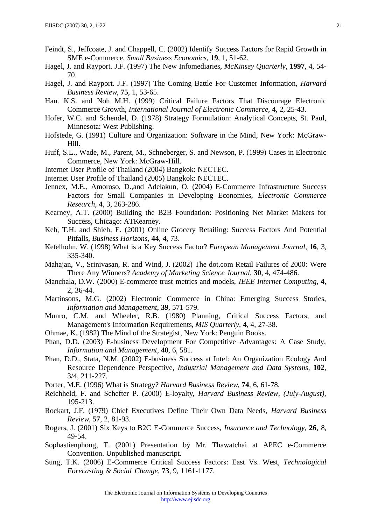- Feindt, S., Jeffcoate, J. and Chappell, C. (2002) Identify Success Factors for Rapid Growth in SME e-Commerce, *Small Business Economics*, **19**, 1, 51-62.
- Hagel, J. and Rayport. J.F. (1997) The New Infomediaries, *McKinsey Quarterly*, **1997**, 4, 54- 70.
- Hagel, J. and Rayport. J.F. (1997) The Coming Battle For Customer Information, *Harvard Business Review*, **75**, 1, 53-65.
- Han. K.S. and Noh M.H. (1999) Critical Failure Factors That Discourage Electronic Commerce Growth, *International Journal of Electronic Commerce*, **4**, 2, 25-43.
- Hofer, W.C. and Schendel, D. (1978) Strategy Formulation: Analytical Concepts, St. Paul, Minnesota: West Publishing.
- Hofstede, G. (1991) Culture and Organization: Software in the Mind, New York: McGraw-Hill.
- Huff, S.L., Wade, M., Parent, M., Schneberger, S. and Newson, P. (1999) Cases in Electronic Commerce, New York: McGraw-Hill.
- Internet User Profile of Thailand (2004) Bangkok: NECTEC.
- Internet User Profile of Thailand (2005) Bangkok: NECTEC.
- Jennex, M.E., Amoroso, D.,and Adelakun, O. (2004) E-Commerce Infrastructure Success Factors for Small Companies in Developing Economies, *Electronic Commerce Research*, **4**, 3, 263-286.
- Kearney, A.T. (2000) Building the B2B Foundation: Positioning Net Market Makers for Success, Chicago: ATKearney.
- Keh, T.H. and Shieh, E. (2001) Online Grocery Retailing: Success Factors And Potential Pitfalls, *Business Horizons*, **44**, 4, 73.
- Ketelhohn, W. (1998) What is a Key Success Factor? *European Management Journal*, **16**, 3, 335-340.
- Mahajan, V., Srinivasan, R. and Wind, J. (2002) The dot.com Retail Failures of 2000: Were There Any Winners? *Academy of Marketing Science Journal*, **30**, 4, 474-486.
- Manchala, D.W. (2000) E-commerce trust metrics and models, *IEEE Internet Computing*, **4**, 2, 36-44.
- Martinsons, M.G. (2002) Electronic Commerce in China: Emerging Success Stories, *Information and Management*, **39**, 571-579.
- Munro, C.M. and Wheeler, R.B. (1980) Planning, Critical Success Factors, and Management's Information Requirements, *MIS Quarterly*, **4**, 4, 27-38.
- Ohmae, K. (1982) The Mind of the Strategist, New York: Penguin Books.
- Phan, D.D. (2003) E-business Development For Competitive Advantages: A Case Study, *Information and Management*, **40**, 6, 581.
- Phan, D.D., Stata, N.M. (2002) E-business Success at Intel: An Organization Ecology And Resource Dependence Perspective, *Industrial Management and Data Systems,* **102**, 3/4, 211-227.
- Porter, M.E. (1996) What is Strategy? *Harvard Business Review*, **74**, 6, 61-78.
- Reichheld, F. and Schefter P. (2000) E-loyalty, *Harvard Business Review, (July-August),* 195-213.
- Rockart, J.F. (1979) Chief Executives Define Their Own Data Needs, *Harvard Business Review*, **57**, 2, 81-93.
- Rogers, J. (2001) Six Keys to B2C E-Commerce Success, *Insurance and Technology*, **26**, 8, 49-54.
- Sophastienphong, T. (2001) Presentation by Mr. Thawatchai at APEC e-Commerce Convention. Unpublished manuscript.
- Sung, T.K. (2006) E-Commerce Critical Success Factors: East Vs. West, *Technological Forecasting & Social Change*, **73**, 9, 1161-1177.